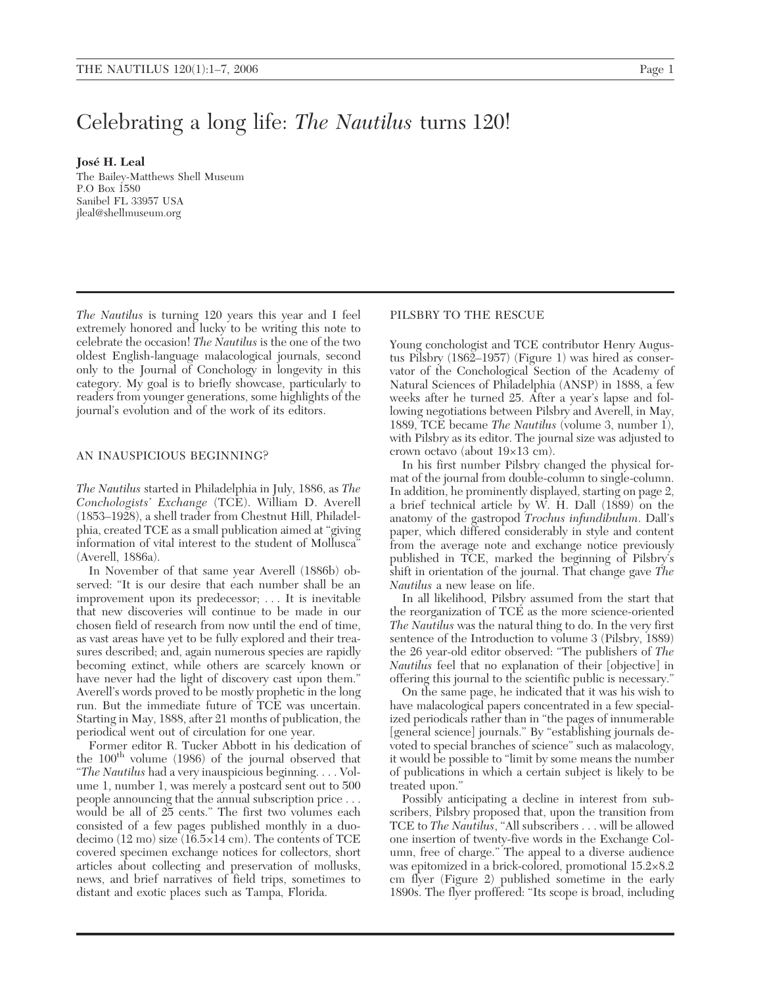# Celebrating a long life: *The Nautilus* turns 120!

**José H. Leal**

The Bailey-Matthews Shell Museum P.O Box 1580 Sanibel FL 33957 USA jleal@shellmuseum.org

*The Nautilus* is turning 120 years this year and I feel extremely honored and lucky to be writing this note to celebrate the occasion! *The Nautilus* is the one of the two oldest English-language malacological journals, second only to the Journal of Conchology in longevity in this category. My goal is to briefly showcase, particularly to readers from younger generations, some highlights of the journal's evolution and of the work of its editors.

# AN INAUSPICIOUS BEGINNING?

*The Nautilus* started in Philadelphia in July, 1886, as *The Conchologists' Exchange* (TCE). William D. Averell (1853–1928), a shell trader from Chestnut Hill, Philadelphia, created TCE as a small publication aimed at "giving information of vital interest to the student of Mollusca" (Averell, 1886a).

In November of that same year Averell (1886b) observed: "It is our desire that each number shall be an improvement upon its predecessor; . . . It is inevitable that new discoveries will continue to be made in our chosen field of research from now until the end of time, as vast areas have yet to be fully explored and their treasures described; and, again numerous species are rapidly becoming extinct, while others are scarcely known or have never had the light of discovery cast upon them." Averell's words proved to be mostly prophetic in the long run. But the immediate future of TCE was uncertain. Starting in May, 1888, after 21 months of publication, the periodical went out of circulation for one year.

Former editor R. Tucker Abbott in his dedication of the  $100<sup>th</sup>$  volume (1986) of the journal observed that "*The Nautilus* had a very inauspicious beginning. . . . Volume 1, number 1, was merely a postcard sent out to 500 people announcing that the annual subscription price . . . would be all of 25 cents." The first two volumes each consisted of a few pages published monthly in a duodecimo (12 mo) size (16.5×14 cm). The contents of TCE covered specimen exchange notices for collectors, short articles about collecting and preservation of mollusks, news, and brief narratives of field trips, sometimes to distant and exotic places such as Tampa, Florida.

# PILSBRY TO THE RESCUE

Young conchologist and TCE contributor Henry Augustus Pilsbry (1862–1957) (Figure 1) was hired as conservator of the Conchological Section of the Academy of Natural Sciences of Philadelphia (ANSP) in 1888, a few weeks after he turned 25. After a year's lapse and following negotiations between Pilsbry and Averell, in May, 1889, TCE became *The Nautilus* (volume 3, number 1), with Pilsbry as its editor. The journal size was adjusted to crown octavo (about 19×13 cm).

In his first number Pilsbry changed the physical format of the journal from double-column to single-column. In addition, he prominently displayed, starting on page 2, a brief technical article by W. H. Dall  $(1889)$  on the anatomy of the gastropod *Trochus infundibulum*. Dall's paper, which differed considerably in style and content from the average note and exchange notice previously published in TCE, marked the beginning of Pilsbry's shift in orientation of the journal. That change gave *The Nautilus* a new lease on life.

In all likelihood, Pilsbry assumed from the start that the reorganization of TCE as the more science-oriented *The Nautilus* was the natural thing to do. In the very first sentence of the Introduction to volume 3 (Pilsbry, 1889) the 26 year-old editor observed: "The publishers of *The Nautilus* feel that no explanation of their [objective] in offering this journal to the scientific public is necessary."

On the same page, he indicated that it was his wish to have malacological papers concentrated in a few specialized periodicals rather than in "the pages of innumerable [general science] journals." By "establishing journals devoted to special branches of science" such as malacology, it would be possible to "limit by some means the number of publications in which a certain subject is likely to be treated upon."

Possibly anticipating a decline in interest from subscribers, Pilsbry proposed that, upon the transition from TCE to *The Nautilus*, "All subscribers . . . will be allowed one insertion of twenty-five words in the Exchange Column, free of charge." The appeal to a diverse audience was epitomized in a brick-colored, promotional 15.2×8.2 cm flyer (Figure 2) published sometime in the early 1890s. The flyer proffered: "Its scope is broad, including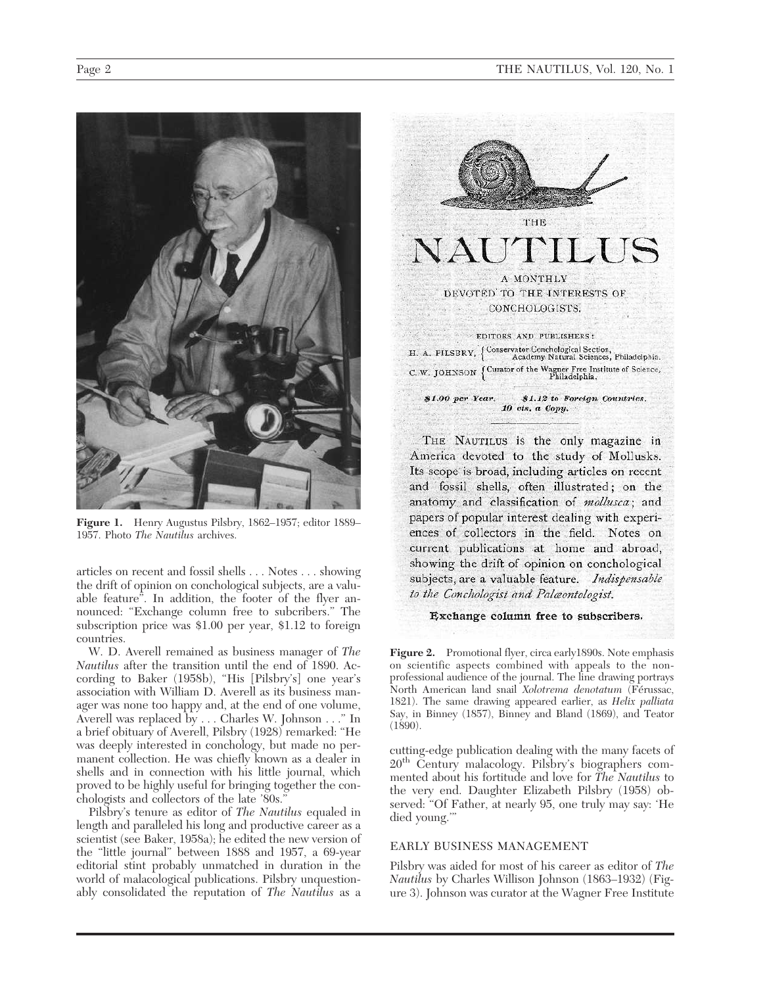

**Figure 1.** Henry Augustus Pilsbry, 1862–1957; editor 1889– 1957. Photo *The Nautilus* archives.

articles on recent and fossil shells . . . Notes . . . showing the drift of opinion on conchological subjects, are a valuable feature". In addition, the footer of the flyer announced: "Exchange column free to subcribers." The subscription price was \$1.00 per year, \$1.12 to foreign countries.

W. D. Averell remained as business manager of *The Nautilus* after the transition until the end of 1890. According to Baker (1958b), "His [Pilsbry's] one year's association with William D. Averell as its business manager was none too happy and, at the end of one volume, Averell was replaced by . . . Charles W. Johnson . . ." In a brief obituary of Averell, Pilsbry (1928) remarked: "He was deeply interested in conchology, but made no permanent collection. He was chiefly known as a dealer in shells and in connection with his little journal, which proved to be highly useful for bringing together the conchologists and collectors of the late '80s."

Pilsbry's tenure as editor of *The Nautilus* equaled in length and paralleled his long and productive career as a scientist (see Baker, 1958a); he edited the new version of the "little journal" between 1888 and 1957, a 69-year editorial stint probably unmatched in duration in the world of malacological publications. Pilsbry unquestionably consolidated the reputation of *The Nautilus* as a



THE NAUTILUS is the only magazine in America devoted to the study of Mollusks. Its scope is broad, including articles on recent and fossil shells, often illustrated; on the anatomy and classification of *mollusca*; and papers of popular interest dealing with experiences of collectors in the field. Notes on current publications at home and abroad, showing the drift of opinion on conchological subjects, are a valuable feature. Indispensable to the Conchologist and Palæontologist.

## Exchange column free to subscribers.

**Figure 2.** Promotional flyer, circa early1890s. Note emphasis on scientific aspects combined with appeals to the nonprofessional audience of the journal. The line drawing portrays North American land snail *Xolotrema denotatum* (Férussac, 1821). The same drawing appeared earlier, as *Helix palliata* Say, in Binney (1857), Binney and Bland (1869), and Teator (1890).

cutting-edge publication dealing with the many facets of 20th Century malacology. Pilsbry's biographers commented about his fortitude and love for *The Nautilus* to the very end. Daughter Elizabeth Pilsbry (1958) observed: "Of Father, at nearly 95, one truly may say: 'He died young.'"

# EARLY BUSINESS MANAGEMENT

Pilsbry was aided for most of his career as editor of *The Nautilus* by Charles Willison Johnson (1863–1932) (Figure 3). Johnson was curator at the Wagner Free Institute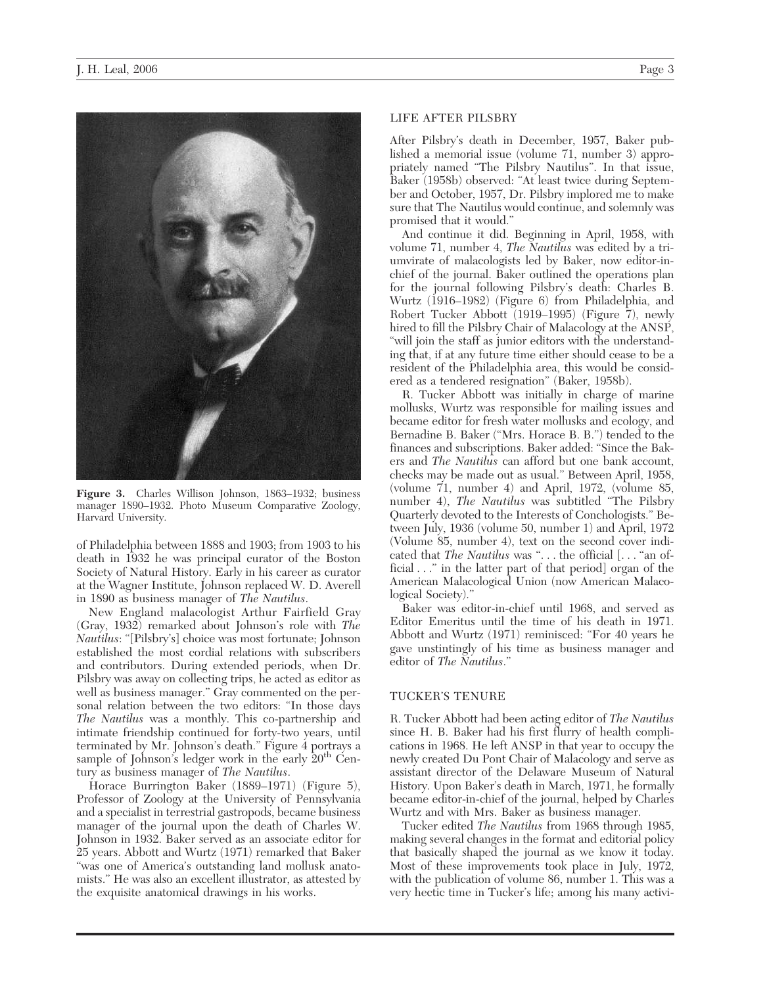

**Figure 3.** Charles Willison Johnson, 1863–1932; business manager 1890–1932. Photo Museum Comparative Zoology, Harvard University.

of Philadelphia between 1888 and 1903; from 1903 to his death in 1932 he was principal curator of the Boston Society of Natural History. Early in his career as curator at the Wagner Institute, Johnson replaced W. D. Averell in 1890 as business manager of *The Nautilus*.

New England malacologist Arthur Fairfield Gray (Gray, 1932) remarked about Johnson's role with *The Nautilus*: "[Pilsbry's] choice was most fortunate; Johnson established the most cordial relations with subscribers and contributors. During extended periods, when Dr. Pilsbry was away on collecting trips, he acted as editor as well as business manager." Gray commented on the personal relation between the two editors: "In those days *The Nautilus* was a monthly. This co-partnership and intimate friendship continued for forty-two years, until terminated by Mr. Johnson's death." Figure 4 portrays a sample of Johnson's ledger work in the early  $20<sup>th</sup>$  Century as business manager of *The Nautilus*.

Horace Burrington Baker (1889–1971) (Figure 5), Professor of Zoology at the University of Pennsylvania and a specialist in terrestrial gastropods, became business manager of the journal upon the death of Charles W. Johnson in 1932. Baker served as an associate editor for 25 years. Abbott and Wurtz (1971) remarked that Baker "was one of America's outstanding land mollusk anatomists." He was also an excellent illustrator, as attested by the exquisite anatomical drawings in his works.

# LIFE AFTER PILSBRY

After Pilsbry's death in December, 1957, Baker published a memorial issue (volume 71, number 3) appropriately named "The Pilsbry Nautilus". In that issue, Baker (1958b) observed: "At least twice during September and October, 1957, Dr. Pilsbry implored me to make sure that The Nautilus would continue, and solemnly was promised that it would."

And continue it did. Beginning in April, 1958, with volume 71, number 4, *The Nautilus* was edited by a triumvirate of malacologists led by Baker, now editor-inchief of the journal. Baker outlined the operations plan for the journal following Pilsbry's death: Charles B. Wurtz (1916–1982) (Figure 6) from Philadelphia, and Robert Tucker Abbott (1919–1995) (Figure 7), newly hired to fill the Pilsbry Chair of Malacology at the ANSP, "will join the staff as junior editors with the understanding that, if at any future time either should cease to be a resident of the Philadelphia area, this would be considered as a tendered resignation" (Baker, 1958b).

R. Tucker Abbott was initially in charge of marine mollusks, Wurtz was responsible for mailing issues and became editor for fresh water mollusks and ecology, and Bernadine B. Baker ("Mrs. Horace B. B.") tended to the finances and subscriptions. Baker added: "Since the Bakers and *The Nautilus* can afford but one bank account, checks may be made out as usual." Between April, 1958, (volume 71, number 4) and April, 1972, (volume 85, number 4), *The Nautilus* was subtitled "The Pilsbry Quarterly devoted to the Interests of Conchologists." Between July, 1936 (volume 50, number 1) and April, 1972 (Volume 85, number 4), text on the second cover indicated that *The Nautilus* was ". . . the official [. . . "an official..." in the latter part of that period] organ of the American Malacological Union (now American Malacological Society)."

Baker was editor-in-chief until 1968, and served as Editor Emeritus until the time of his death in 1971. Abbott and Wurtz (1971) reminisced: "For 40 years he gave unstintingly of his time as business manager and editor of *The Nautilus*."

#### TUCKER'S TENURE

R. Tucker Abbott had been acting editor of *The Nautilus* since H. B. Baker had his first flurry of health complications in 1968. He left ANSP in that year to occupy the newly created Du Pont Chair of Malacology and serve as assistant director of the Delaware Museum of Natural History. Upon Baker's death in March, 1971, he formally became editor-in-chief of the journal, helped by Charles Wurtz and with Mrs. Baker as business manager.

Tucker edited *The Nautilus* from 1968 through 1985, making several changes in the format and editorial policy that basically shaped the journal as we know it today. Most of these improvements took place in July, 1972, with the publication of volume 86, number 1. This was a very hectic time in Tucker's life; among his many activi-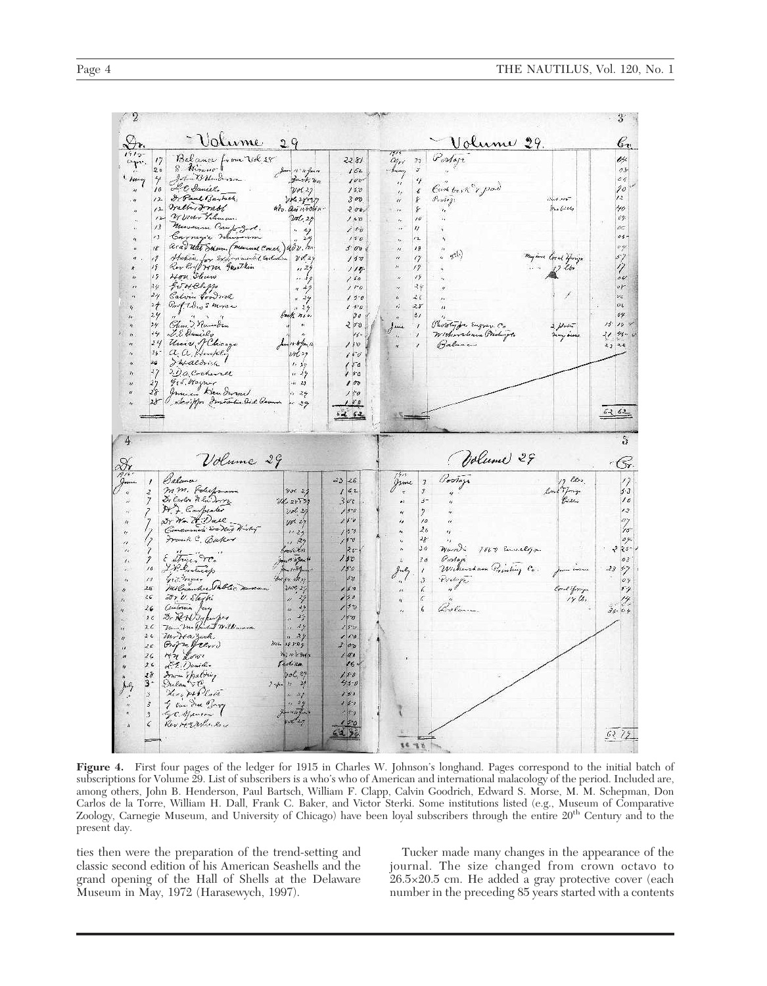| <u>Volume</u><br>Dr.                                                                                                                                                                                                                                                                                                                                                                                                                                                                                                                                                                                                                                                                                                                          | 29                                                                                                                                                                                                                                                                                                                                                                                                                                                                                                                                 | <u> Volume 29.</u>                                                                                                                                                                                                                                                                                                                                                                                            | bv                                                                                                                                                                                                                                                                            |
|-----------------------------------------------------------------------------------------------------------------------------------------------------------------------------------------------------------------------------------------------------------------------------------------------------------------------------------------------------------------------------------------------------------------------------------------------------------------------------------------------------------------------------------------------------------------------------------------------------------------------------------------------------------------------------------------------------------------------------------------------|------------------------------------------------------------------------------------------------------------------------------------------------------------------------------------------------------------------------------------------------------------------------------------------------------------------------------------------------------------------------------------------------------------------------------------------------------------------------------------------------------------------------------------|---------------------------------------------------------------------------------------------------------------------------------------------------------------------------------------------------------------------------------------------------------------------------------------------------------------------------------------------------------------------------------------------------------------|-------------------------------------------------------------------------------------------------------------------------------------------------------------------------------------------------------------------------------------------------------------------------------|
| $1919 -$<br>Bakance from Vol 18<br>apr.<br>S. Hirano 1<br>20<br>John B Henderson.<br>- Hany<br>LE Daniel.<br>Dr Paul Barbet,<br>Irally Frebl<br>$\lambda$<br>Willow Tileman.<br>$12 -$<br>Museum Comp. Book.<br>$\sqrt{3}$<br>Carnegie Museum<br>73<br>arad Wat Servan (manual Conch) adv. h.<br>18<br>Staken, for Exponential Excludion<br>Roy Proft 7870, Garathin<br>11<br>19<br>Hon Show<br>19<br>Git of Clapp<br>Calvin Goodrick<br>24<br>24<br>$C_{m}$ ( $1.9_{m}$ S Morse<br>1/7<br>29<br>$4 - 1 - 4$<br>Glass Rambon<br>24<br>L.E. Dunicle<br>ィシ<br>Univ J Chicago<br>24<br>a a Humpli<br>$25 -$<br>d'4 aldrich<br>26<br>27<br>J.O. Creherell<br>ger Mayner<br>Junian Klendwood<br>27<br>28<br>skriffer Imperiation Oxid Remain<br>28 | 2281<br>Jam 15 /5 gans<br>162<br>$3a+k, n_0$<br>1004<br>15.0<br>24.27<br>200 28027<br>300<br>$48v.$ Qui 14400 14 .<br>$200 -$<br>200.29<br>150<br>150<br>. 29<br>150<br>429<br>5.00<br>20829<br>150<br>11, 29<br>$114 -$<br>19<br>160<br>$1 + 0$<br>$4 - 7$<br>150<br>$x - 2y$<br>1.50<br>129<br>30<br>back now<br>$\mathbf{H}$<br>200<br>$\prime\prime$<br>$11 -$<br>11-6 Jan 14<br>110 ( 2 g<br>150<br>150<br>1.19<br>50<br>1.25<br>P <sub>G</sub><br>100<br>$\frac{1}{2}$<br>427<br>150<br>$\mathcal{F}$ 0<br>$-29$<br>$6 - 62$ | Powage<br>an<br>$\sqrt{2}$<br>- huan<br>$\alpha$<br>Cash tresh & praid<br>Pertegi<br>$\ell_{\rm f}$<br>$^{\prime\prime}$<br>$\cdots$<br>$\mathfrak{t}$ :<br>IJ<br>ir.<br>12<br>想<br>$^{\prime\prime}$<br>$v^{a(b)}$<br>$\eta$<br>$\alpha$<br>n<br>17<br>19<br>44<br>$2\epsilon$<br>28<br>$\frac{1}{2}$<br>Photologie Engrav. Co<br>$\int$ une<br>Wicherchan Printinge.<br>$\boldsymbol{\eta}$<br>Balance<br>H | 04<br>$\sigma$ F<br>c <sub>6</sub><br>90<br>I.2<br>and not<br>Free Gills<br>40<br>vy.<br>OG.<br>0.5<br>myine local Young<br>$\frac{1}{2}$<br>04<br>0 <sup>1</sup><br>94.<br>$0\sqrt{2}$<br>69<br>2 plaint<br>13°<br>10<br>ヤ<br>$^{\prime\prime}$<br>Any Hour<br>53 56<br>6262 |
| Volume 29                                                                                                                                                                                                                                                                                                                                                                                                                                                                                                                                                                                                                                                                                                                                     |                                                                                                                                                                                                                                                                                                                                                                                                                                                                                                                                    | Volume 29                                                                                                                                                                                                                                                                                                                                                                                                     | S<br>G                                                                                                                                                                                                                                                                        |
| Balance<br>mm. Polickmann<br>Dr Carlos de la Dorre<br>H. F. Carpenter<br>Nr. 7. Dall.<br>Concuments Son Nat Harley<br>Frank C. Bakor<br>E Striper TC.<br>I.P. Entreap<br>16<br>Gic Wayner<br>11<br>Milnamker Pablic naveau<br>$26^{\circ}$<br>Fr. V. Sleghi<br>26<br>Centerain Jacq<br>$\frac{2}{9}$<br>& RAVSopupor<br>1 c<br>Mars ma Bandont Williamson<br>J. C<br>mirta zech.<br>26<br>Grof me frenow<br>21<br>Hn Lowe<br>2 <sup>o</sup><br>18                                                                                                                                                                                                                                                                                             | $-23$ $26$<br>162<br>$\sqrt{3}$ 2.7<br>26225729<br>35c<br>10629<br>150<br>150<br>$10^{36}$ 24<br>150<br>11.24<br>50<br>4.89<br>$26 -$<br>renks<br>Smart Highwards<br>180<br>150<br>for sa vasy<br>37<br>21.00 29<br>15.0<br>150<br>44.49<br>150<br>49<br>150<br>49<br>250<br>129<br>10<br>2106 28829<br>3000<br>76 1 1 1 3 4 1 x<br>100<br><i>Exclina</i><br>$16 -$<br>$b = 25$<br>180                                                                                                                                             | 1915<br>Postage<br>$\overline{J}$<br>3<br>$\boldsymbol{\varepsilon}$<br>3-<br>$\bullet$<br>$\mathbf{r}$<br>18<br>$\epsilon_{d}$<br>26<br>4<br>$W_{\mu\nu}$<br>300<br>7527 Emelyon<br>Goodage.<br>30<br>ă.<br>Wickersham Printing Co.<br>July<br>Portage.<br>3<br>6.<br>í.<br>Bolance<br>$\epsilon$                                                                                                            | of les.<br>$\eta$<br>low from<br>5.3<br>10<br>12<br>o,<br>37<br>-23<br>OY<br>boat Frage<br>$f\neq$<br>$1 \gamma$ the<br>$36 - 04$                                                                                                                                             |
| Iran Spating<br>Stelan TC<br>Kog Hollan<br>$3 -$<br>3<br>I Van Due Bary<br>Gre Spania 1<br>Rev Herschner<br>$\vec{s}$<br>3<br>$\zeta$                                                                                                                                                                                                                                                                                                                                                                                                                                                                                                                                                                                                         | $45 - 0$<br>$3 - 4 - 4$<br>150<br>$\frac{3}{10}$ $\frac{27}{27}$<br>1.50<br>gorate forme<br>$1 + 7 - 0$<br>$t'$ 29<br>150<br>3213                                                                                                                                                                                                                                                                                                                                                                                                  | 589                                                                                                                                                                                                                                                                                                                                                                                                           | 6272                                                                                                                                                                                                                                                                          |

**Figure 4.** First four pages of the ledger for 1915 in Charles W. Johnson's longhand. Pages correspond to the initial batch of subscriptions for Volume 29. List of subscribers is a who's who of American and international malacology of the period. Included are, among others, John B. Henderson, Paul Bartsch, William F. Clapp, Calvin Goodrich, Edward S. Morse, M. M. Schepman, Don Carlos de la Torre, William H. Dall, Frank C. Baker, and Victor Sterki. Some institutions listed (e.g., Museum of Comparative Zoology, Carnegie Museum, and University of Chicago) have been loyal subscribers through the entire 20th Century and to the present day.

ties then were the preparation of the trend-setting and classic second edition of his American Seashells and the grand opening of the Hall of Shells at the Delaware Museum in May, 1972 (Harasewych, 1997).

Tucker made many changes in the appearance of the journal. The size changed from crown octavo to 26.5×20.5 cm. He added a gray protective cover (each number in the preceding 85 years started with a contents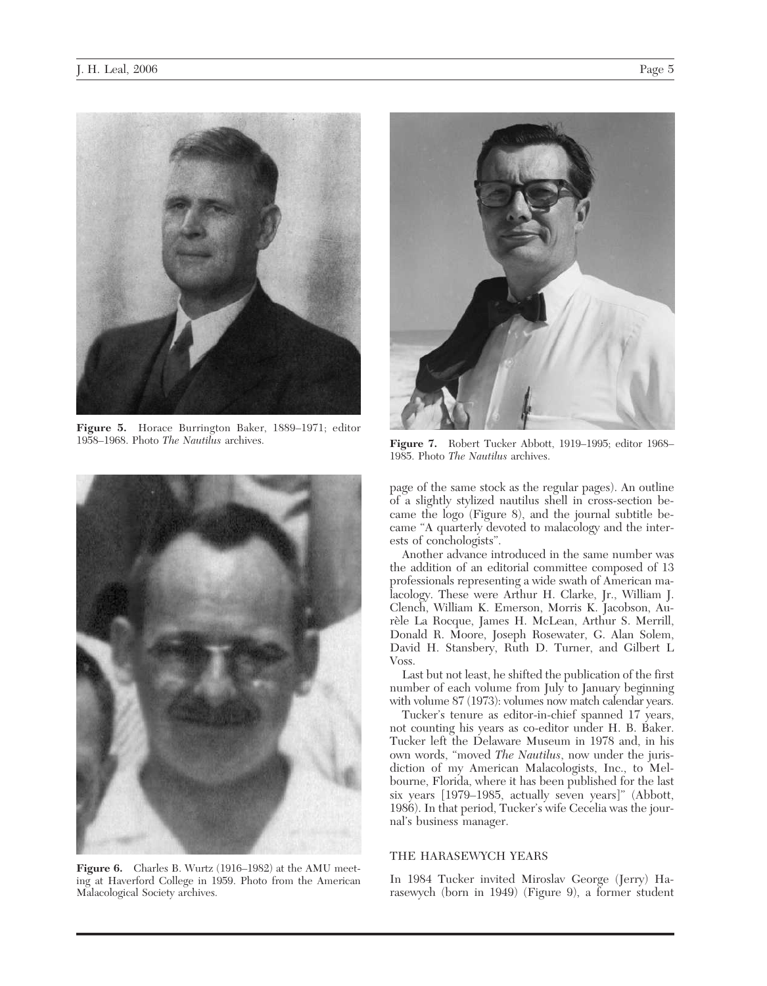

**Figure 5.** Horace Burrington Baker, 1889–1971; editor 1958–1968. Photo *The Nautilus* archives.



**Figure 6.** Charles B. Wurtz (1916–1982) at the AMU meeting at Haverford College in 1959. Photo from the American Malacological Society archives.



**Figure 7.** Robert Tucker Abbott, 1919–1995; editor 1968– 1985. Photo *The Nautilus* archives.

page of the same stock as the regular pages). An outline of a slightly stylized nautilus shell in cross-section became the logo (Figure 8), and the journal subtitle became "A quarterly devoted to malacology and the interests of conchologists".

Another advance introduced in the same number was the addition of an editorial committee composed of 13 professionals representing a wide swath of American malacology. These were Arthur H. Clarke, Jr., William J. Clench, William K. Emerson, Morris K. Jacobson, Aurèle La Rocque, James H. McLean, Arthur S. Merrill, Donald R. Moore, Joseph Rosewater, G. Alan Solem, David H. Stansbery, Ruth D. Turner, and Gilbert L Voss.

Last but not least, he shifted the publication of the first number of each volume from July to January beginning with volume 87 (1973): volumes now match calendar years.

Tucker's tenure as editor-in-chief spanned 17 years, not counting his years as co-editor under H. B. Baker. Tucker left the Delaware Museum in 1978 and, in his own words, "moved *The Nautilus*, now under the jurisdiction of my American Malacologists, Inc., to Melbourne, Florida, where it has been published for the last six years [1979–1985, actually seven years]" (Abbott, 1986). In that period, Tucker's wife Cecelia was the journal's business manager.

# THE HARASEWYCH YEARS

In 1984 Tucker invited Miroslav George (Jerry) Harasewych (born in 1949) (Figure 9), a former student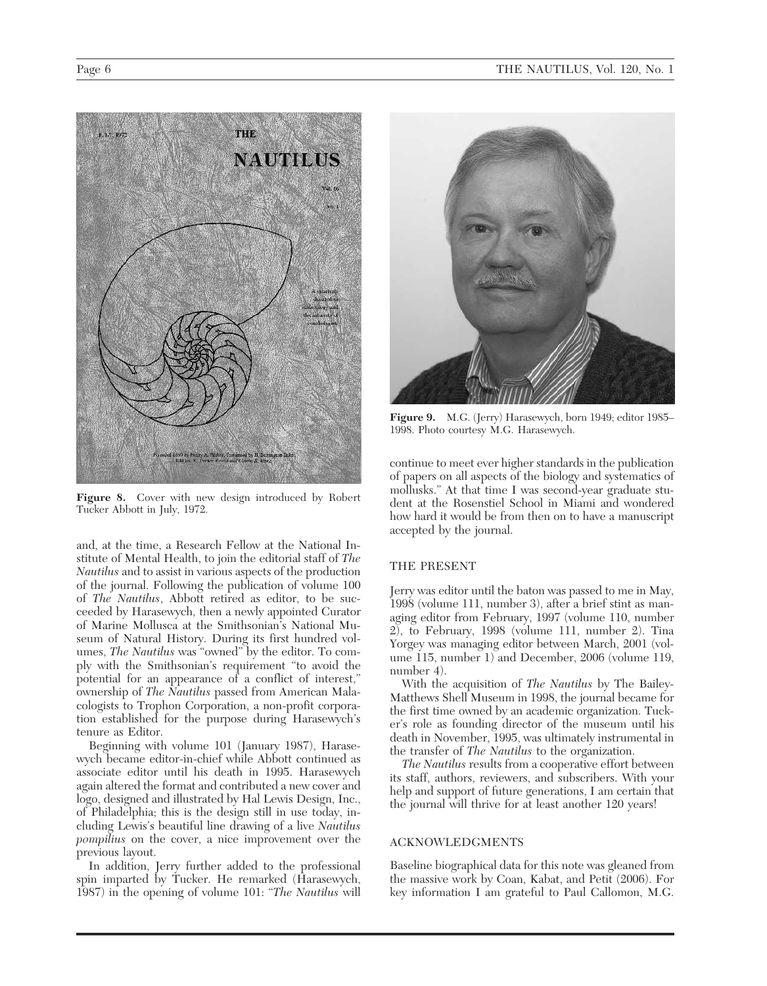

**Figure 8.** Cover with new design introduced by Robert Tucker Abbott in July, 1972.

and, at the time, a Research Fellow at the National Institute of Mental Health, to join the editorial staff of *The Nautilus* and to assist in various aspects of the production of the journal. Following the publication of volume 100 of *The Nautilus*, Abbott retired as editor, to be succeeded by Harasewych, then a newly appointed Curator of Marine Mollusca at the Smithsonian's National Museum of Natural History. During its first hundred volumes, *The Nautilus* was "owned" by the editor. To comply with the Smithsonian's requirement "to avoid the potential for an appearance of a conflict of interest," ownership of *The Nautilus* passed from American Malacologists to Trophon Corporation, a non-profit corporation established for the purpose during Harasewych's tenure as Editor.

Beginning with volume 101 (January 1987), Harasewych became editor-in-chief while Abbott continued as associate editor until his death in 1995. Harasewych again altered the format and contributed a new cover and logo, designed and illustrated by Hal Lewis Design, Inc., of Philadelphia; this is the design still in use today, including Lewis's beautiful line drawing of a live *Nautilus pompilius* on the cover, a nice improvement over the previous layout.

In addition, Jerry further added to the professional spin imparted by Tucker. He remarked (Harasewych, 1987) in the opening of volume 101: "*The Nautilus* will



**Figure 9.** M.G. (Jerry) Harasewych, born 1949; editor 1985– 1998. Photo courtesy M.G. Harasewych.

continue to meet ever higher standards in the publication of papers on all aspects of the biology and systematics of mollusks." At that time I was second-year graduate student at the Rosenstiel School in Miami and wondered how hard it would be from then on to have a manuscript accepted by the journal.

# THE PRESENT

Jerry was editor until the baton was passed to me in May, 1998 (volume 111, number 3), after a brief stint as managing editor from February, 1997 (volume 110, number 2), to February, 1998 (volume 111, number 2). Tina Yorgey was managing editor between March, 2001 (volume 115, number 1) and December, 2006 (volume 119, number 4).

With the acquisition of *The Nautilus* by The Bailey-Matthews Shell Museum in 1998, the journal became for the first time owned by an academic organization. Tucker's role as founding director of the museum until his death in November, 1995, was ultimately instrumental in the transfer of *The Nautilus* to the organization.

*The Nautilus* results from a cooperative effort between its staff, authors, reviewers, and subscribers. With your help and support of future generations, I am certain that the journal will thrive for at least another 120 years!

# ACKNOWLEDGMENTS

Baseline biographical data for this note was gleaned from the massive work by Coan, Kabat, and Petit (2006). For key information I am grateful to Paul Callomon, M.G.